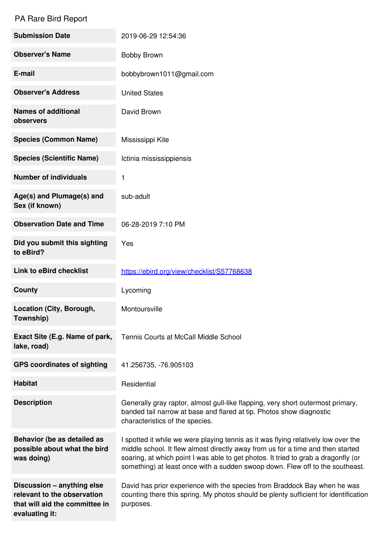## PA Rare Bird Report

| <b>Submission Date</b>                                                                                        | 2019-06-29 12:54:36                                                                                                                                                                                                                                                                                                                          |
|---------------------------------------------------------------------------------------------------------------|----------------------------------------------------------------------------------------------------------------------------------------------------------------------------------------------------------------------------------------------------------------------------------------------------------------------------------------------|
| <b>Observer's Name</b>                                                                                        | Bobby Brown                                                                                                                                                                                                                                                                                                                                  |
| E-mail                                                                                                        | bobbybrown1011@gmail.com                                                                                                                                                                                                                                                                                                                     |
| <b>Observer's Address</b>                                                                                     | <b>United States</b>                                                                                                                                                                                                                                                                                                                         |
| <b>Names of additional</b><br>observers                                                                       | David Brown                                                                                                                                                                                                                                                                                                                                  |
| <b>Species (Common Name)</b>                                                                                  | Mississippi Kite                                                                                                                                                                                                                                                                                                                             |
| <b>Species (Scientific Name)</b>                                                                              | Ictinia mississippiensis                                                                                                                                                                                                                                                                                                                     |
| <b>Number of individuals</b>                                                                                  | 1                                                                                                                                                                                                                                                                                                                                            |
| Age(s) and Plumage(s) and<br>Sex (if known)                                                                   | sub-adult                                                                                                                                                                                                                                                                                                                                    |
| <b>Observation Date and Time</b>                                                                              | 06-28-2019 7:10 PM                                                                                                                                                                                                                                                                                                                           |
| Did you submit this sighting<br>to eBird?                                                                     | Yes                                                                                                                                                                                                                                                                                                                                          |
| <b>Link to eBird checklist</b>                                                                                | https://ebird.org/view/checklist/S57768638                                                                                                                                                                                                                                                                                                   |
| County                                                                                                        | Lycoming                                                                                                                                                                                                                                                                                                                                     |
| Location (City, Borough,<br>Township)                                                                         | Montoursville                                                                                                                                                                                                                                                                                                                                |
| Exact Site (E.g. Name of park,<br>lake, road)                                                                 | Tennis Courts at McCall Middle School                                                                                                                                                                                                                                                                                                        |
| <b>GPS coordinates of sighting</b>                                                                            | 41.256735, -76.905103                                                                                                                                                                                                                                                                                                                        |
| <b>Habitat</b>                                                                                                | Residential                                                                                                                                                                                                                                                                                                                                  |
| <b>Description</b>                                                                                            | Generally gray raptor, almost gull-like flapping, very short outermost primary,<br>banded tail narrow at base and flared at tip. Photos show diagnostic<br>characteristics of the species.                                                                                                                                                   |
| Behavior (be as detailed as<br>possible about what the bird<br>was doing)                                     | I spotted it while we were playing tennis as it was flying relatively low over the<br>middle school. It flew almost directly away from us for a time and then started<br>soaring, at which point I was able to get photos. It tried to grab a dragonfly (or<br>something) at least once with a sudden swoop down. Flew off to the southeast. |
| Discussion - anything else<br>relevant to the observation<br>that will aid the committee in<br>evaluating it: | David has prior experience with the species from Braddock Bay when he was<br>counting there this spring. My photos should be plenty sufficient for identification<br>purposes.                                                                                                                                                               |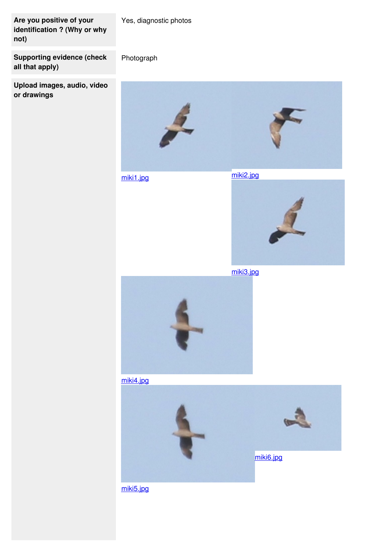**Are you positive of your identification ? (Why or why not)**

Yes, diagnostic photos

Photograph

**Supporting evidence (check all that apply)**

**Upload images, audio, video or drawings**